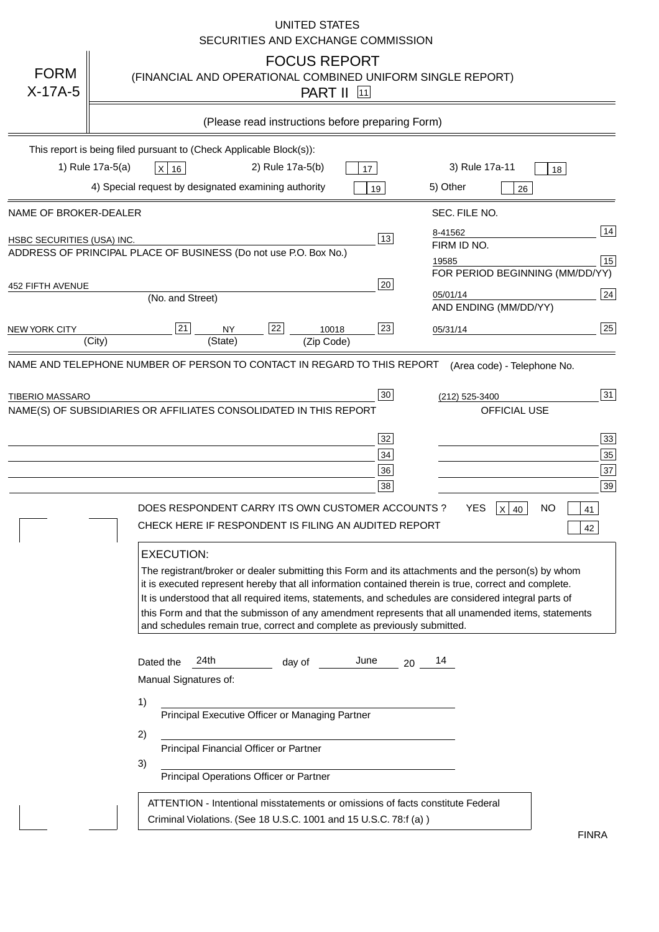|                            | <b>UNITED STATES</b><br>SECURITIES AND EXCHANGE COMMISSION                                                                                                                                                                                                                                                                                                                                                                                                                                                                                                                                                    |
|----------------------------|---------------------------------------------------------------------------------------------------------------------------------------------------------------------------------------------------------------------------------------------------------------------------------------------------------------------------------------------------------------------------------------------------------------------------------------------------------------------------------------------------------------------------------------------------------------------------------------------------------------|
| <b>FORM</b><br>$X-17A-5$   | <b>FOCUS REPORT</b><br>(FINANCIAL AND OPERATIONAL COMBINED UNIFORM SINGLE REPORT)<br><b>PART II</b><br> 11                                                                                                                                                                                                                                                                                                                                                                                                                                                                                                    |
|                            | (Please read instructions before preparing Form)                                                                                                                                                                                                                                                                                                                                                                                                                                                                                                                                                              |
|                            | This report is being filed pursuant to (Check Applicable Block(s)):                                                                                                                                                                                                                                                                                                                                                                                                                                                                                                                                           |
|                            | 1) Rule 17a-5(a)<br>3) Rule 17a-11<br>2) Rule 17a-5(b)<br>$X$ 16<br>17<br>18                                                                                                                                                                                                                                                                                                                                                                                                                                                                                                                                  |
|                            | 4) Special request by designated examining authority<br>5) Other<br>19<br>26                                                                                                                                                                                                                                                                                                                                                                                                                                                                                                                                  |
| NAME OF BROKER-DEALER      | SEC. FILE NO.                                                                                                                                                                                                                                                                                                                                                                                                                                                                                                                                                                                                 |
| HSBC SECURITIES (USA) INC. | 14<br>8-41562<br>13<br>FIRM ID NO.                                                                                                                                                                                                                                                                                                                                                                                                                                                                                                                                                                            |
|                            | ADDRESS OF PRINCIPAL PLACE OF BUSINESS (Do not use P.O. Box No.)<br>15<br>19585                                                                                                                                                                                                                                                                                                                                                                                                                                                                                                                               |
| <b>452 FIFTH AVENUE</b>    | FOR PERIOD BEGINNING (MM/DD/YY)<br>$20\,$                                                                                                                                                                                                                                                                                                                                                                                                                                                                                                                                                                     |
|                            | 24<br>05/01/14<br>(No. and Street)<br>AND ENDING (MM/DD/YY)                                                                                                                                                                                                                                                                                                                                                                                                                                                                                                                                                   |
| <b>NEW YORK CITY</b>       | 25<br>22<br>23<br> 21 <br>10018<br>NY<br>05/31/14                                                                                                                                                                                                                                                                                                                                                                                                                                                                                                                                                             |
|                            | (City)<br>(State)<br>(Zip Code)                                                                                                                                                                                                                                                                                                                                                                                                                                                                                                                                                                               |
|                            | NAME(S) OF SUBSIDIARIES OR AFFILIATES CONSOLIDATED IN THIS REPORT<br>OFFICIAL USE<br>33<br>32<br>35<br>34<br>37<br>36<br>39<br>38<br>DOES RESPONDENT CARRY ITS OWN CUSTOMER ACCOUNTS?<br><b>YES</b><br>NO<br>$X$ 40<br>41<br>CHECK HERE IF RESPONDENT IS FILING AN AUDITED REPORT<br>42<br><b>EXECUTION:</b><br>The registrant/broker or dealer submitting this Form and its attachments and the person(s) by whom<br>it is executed represent hereby that all information contained therein is true, correct and complete.                                                                                   |
|                            | It is understood that all required items, statements, and schedules are considered integral parts of<br>this Form and that the submisson of any amendment represents that all unamended items, statements<br>and schedules remain true, correct and complete as previously submitted.<br>24th<br>June<br>Dated the<br>14<br>day of<br>20<br>Manual Signatures of:<br>1)<br>Principal Executive Officer or Managing Partner<br>2)<br>Principal Financial Officer or Partner<br>3)<br>Principal Operations Officer or Partner<br>ATTENTION - Intentional misstatements or omissions of facts constitute Federal |
|                            | Criminal Violations. (See 18 U.S.C. 1001 and 15 U.S.C. 78:f (a))<br><b>FINRA</b>                                                                                                                                                                                                                                                                                                                                                                                                                                                                                                                              |

FINRA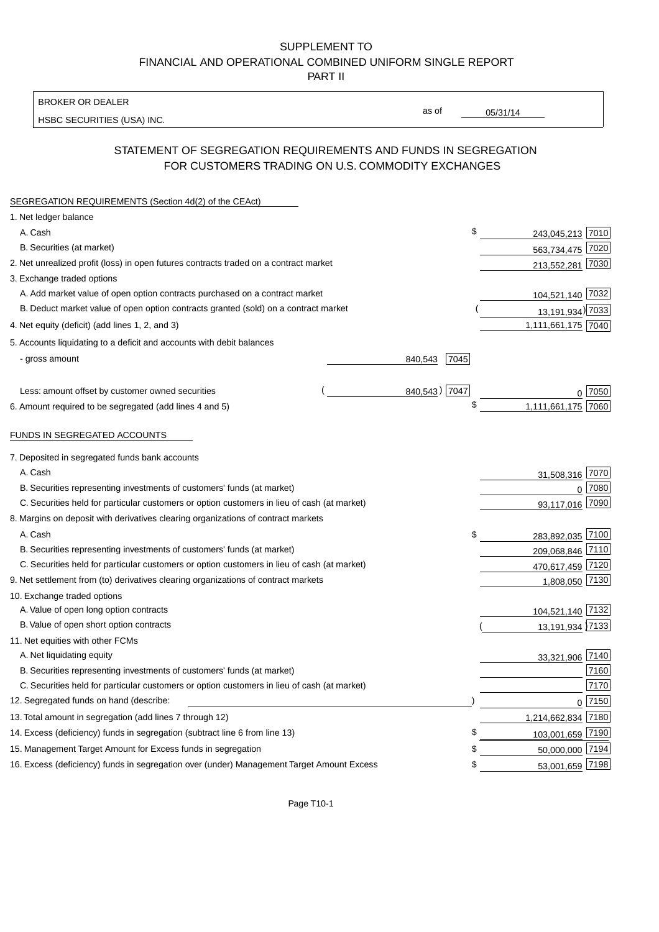## SUPPLEMENT TO FINANCIAL AND OPERATIONAL COMBINED UNIFORM SINGLE REPORT PART II

#### BROKER OR DEALER

HSBC SECURITIES (USA) INC.

 $05/31/14$ 

as of

## STATEMENT OF SEGREGATION REQUIREMENTS AND FUNDS IN SEGREGATION FOR CUSTOMERS TRADING ON U.S. COMMODITY EXCHANGES

| SEGREGATION REQUIREMENTS (Section 4d(2) of the CEAct)                                       |                 |                    |      |
|---------------------------------------------------------------------------------------------|-----------------|--------------------|------|
| 1. Net ledger balance                                                                       |                 |                    |      |
| A. Cash                                                                                     | \$              | 243,045,213 7010   |      |
| B. Securities (at market)                                                                   |                 | 563,734,475 7020   |      |
| 2. Net unrealized profit (loss) in open futures contracts traded on a contract market       |                 | 213,552,281 7030   |      |
| 3. Exchange traded options                                                                  |                 |                    |      |
| A. Add market value of open option contracts purchased on a contract market                 |                 | 104,521,140 7032   |      |
| B. Deduct market value of open option contracts granted (sold) on a contract market         |                 | 13,191,934) 7033   |      |
| 4. Net equity (deficit) (add lines 1, 2, and 3)                                             |                 | 1,111,661,175 7040 |      |
| 5. Accounts liquidating to a deficit and accounts with debit balances                       |                 |                    |      |
| - gross amount                                                                              | 840,543<br>7045 |                    |      |
|                                                                                             |                 |                    |      |
| Less: amount offset by customer owned securities                                            | 840,543) 7047   |                    | 7050 |
| 6. Amount required to be segregated (add lines 4 and 5)                                     | \$              | 1,111,661,175      | 7060 |
| FUNDS IN SEGREGATED ACCOUNTS                                                                |                 |                    |      |
| 7. Deposited in segregated funds bank accounts                                              |                 |                    |      |
| A. Cash                                                                                     |                 | 31,508,316         | 7070 |
| B. Securities representing investments of customers' funds (at market)                      |                 | 0                  | 7080 |
| C. Securities held for particular customers or option customers in lieu of cash (at market) |                 | 93,117,016         | 7090 |
| 8. Margins on deposit with derivatives clearing organizations of contract markets           |                 |                    |      |
| A. Cash                                                                                     | \$              | 283,892,035 7100   |      |
| B. Securities representing investments of customers' funds (at market)                      |                 | 209,068,846 7110   |      |
| C. Securities held for particular customers or option customers in lieu of cash (at market) |                 | 470,617,459 7120   |      |
| 9. Net settlement from (to) derivatives clearing organizations of contract markets          |                 | 1,808,050 7130     |      |
| 10. Exchange traded options                                                                 |                 |                    |      |
| A. Value of open long option contracts                                                      |                 | 104,521,140 7132   |      |
| B. Value of open short option contracts                                                     |                 | 13,191,934 7133    |      |
| 11. Net equities with other FCMs                                                            |                 |                    |      |
| A. Net liquidating equity                                                                   |                 | 33,321,906 7140    |      |
| B. Securities representing investments of customers' funds (at market)                      |                 |                    | 7160 |
| C. Securities held for particular customers or option customers in lieu of cash (at market) |                 |                    | 7170 |
| 12. Segregated funds on hand (describe:                                                     |                 | $\Omega$           | 7150 |
| 13. Total amount in segregation (add lines 7 through 12)                                    |                 | 1,214,662,834      | 7180 |
| 14. Excess (deficiency) funds in segregation (subtract line 6 from line 13)                 | ٩.              | 103,001,659 7190   |      |
| 15. Management Target Amount for Excess funds in segregation                                |                 | 50,000,000 7194    |      |
| 16. Excess (deficiency) funds in segregation over (under) Management Target Amount Excess   | \$              | 53,001,659 7198    |      |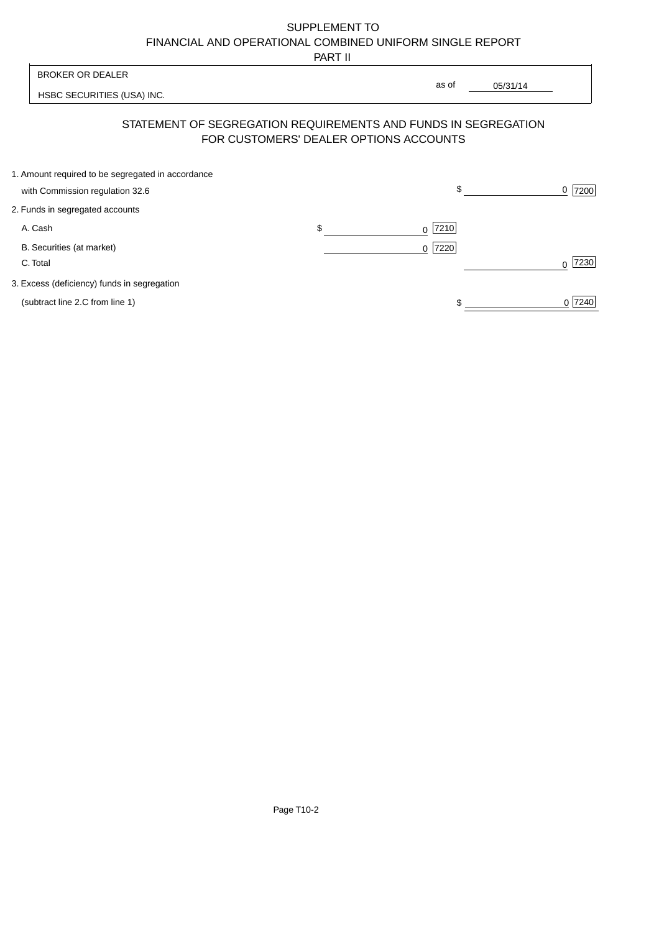# SUPPLEMENT TO FINANCIAL AND OPERATIONAL COMBINED UNIFORM SINGLE REPORT

PART II

|                                                                                      | .                                      |                                                                |                  |
|--------------------------------------------------------------------------------------|----------------------------------------|----------------------------------------------------------------|------------------|
| <b>BROKER OR DEALER</b>                                                              |                                        |                                                                |                  |
| HSBC SECURITIES (USA) INC.                                                           |                                        | as of<br>05/31/14                                              |                  |
|                                                                                      | FOR CUSTOMERS' DEALER OPTIONS ACCOUNTS | STATEMENT OF SEGREGATION REQUIREMENTS AND FUNDS IN SEGREGATION |                  |
| 1. Amount required to be segregated in accordance<br>with Commission regulation 32.6 |                                        | \$                                                             | 7200<br>0        |
| 2. Funds in segregated accounts                                                      |                                        |                                                                |                  |
| A. Cash                                                                              | \$                                     | 7210<br>0                                                      |                  |
| B. Securities (at market)<br>C. Total                                                |                                        | 7220 <br>$\Omega$                                              | 7230<br>$\Omega$ |
| 3. Excess (deficiency) funds in segregation                                          |                                        |                                                                |                  |
| (subtract line 2.C from line 1)                                                      |                                        |                                                                | 0 7240           |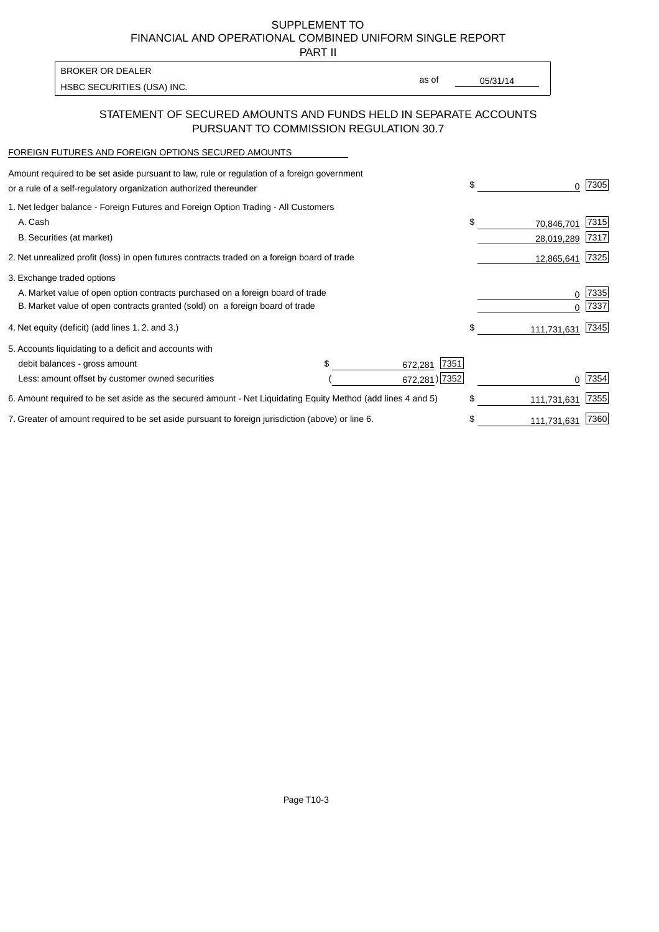SUPPLEMENT TO FINANCIAL AND OPERATIONAL COMBINED UNIFORM SINGLE REPORT

PART II

| <b>BROKER OR DEALER</b>    |       |          |
|----------------------------|-------|----------|
| HSBC SECURITIES (USA) INC. | as of | 05/31/14 |

## STATEMENT OF SECURED AMOUNTS AND FUNDS HELD IN SEPARATE ACCOUNTS PURSUANT TO COMMISSION REGULATION 30.7

#### FOREIGN FUTURES AND FOREIGN OPTIONS SECURED AMOUNTS

| Amount required to be set aside pursuant to law, rule or regulation of a foreign government<br>or a rule of a self-regulatory organization authorized thereunder |                 | \$<br>0           | 7305 |
|------------------------------------------------------------------------------------------------------------------------------------------------------------------|-----------------|-------------------|------|
| 1. Net ledger balance - Foreign Futures and Foreign Option Trading - All Customers                                                                               |                 |                   |      |
| A. Cash                                                                                                                                                          |                 | \$<br>70,846,701  | 7315 |
| B. Securities (at market)                                                                                                                                        |                 | 28,019,289        | 7317 |
| 2. Net unrealized profit (loss) in open futures contracts traded on a foreign board of trade                                                                     |                 | 12,865,641        | 7325 |
| 3. Exchange traded options                                                                                                                                       |                 |                   |      |
| A. Market value of open option contracts purchased on a foreign board of trade                                                                                   |                 | 0                 | 7335 |
| B. Market value of open contracts granted (sold) on a foreign board of trade                                                                                     |                 |                   | 7337 |
| 4. Net equity (deficit) (add lines 1.2. and 3.)                                                                                                                  |                 | \$<br>111,731,631 | 7345 |
| 5. Accounts liquidating to a deficit and accounts with                                                                                                           |                 |                   |      |
| debit balances - gross amount                                                                                                                                    | 7351<br>672,281 |                   |      |
| Less: amount offset by customer owned securities                                                                                                                 | 672,281) 7352   |                   | 7354 |
| 6. Amount required to be set aside as the secured amount - Net Liquidating Equity Method (add lines 4 and 5)                                                     |                 | \$<br>111,731,631 | 7355 |
| 7. Greater of amount required to be set aside pursuant to foreign jurisdiction (above) or line 6.                                                                |                 | 111,731,631       | 7360 |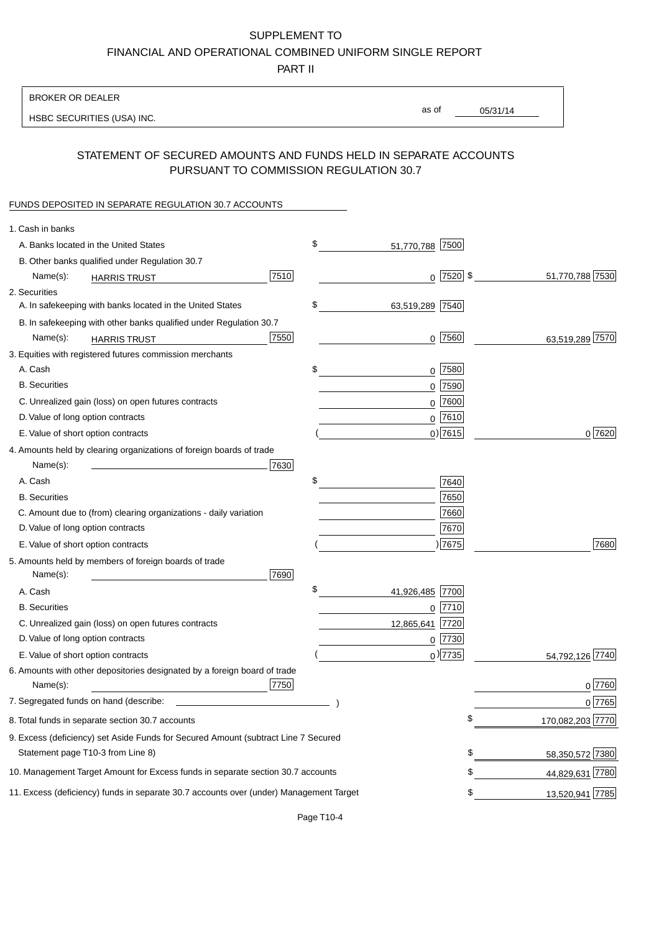# SUPPLEMENT TO

FINANCIAL AND OPERATIONAL COMBINED UNIFORM SINGLE REPORT

PART II

## BROKER OR DEALER

HSBC SECURITIES (USA) INC.

05/31/14 as of

# STATEMENT OF SECURED AMOUNTS AND FUNDS HELD IN SEPARATE ACCOUNTS PURSUANT TO COMMISSION REGULATION 30.7

#### FUNDS DEPOSITED IN SEPARATE REGULATION 30.7 ACCOUNTS

| \$<br>A. Banks located in the United States<br>51,770,788 7500<br>B. Other banks qualified under Regulation 30.7<br>$0$ 7520 \$<br>7510<br>Name(s):<br><b>HARRIS TRUST</b><br>2. Securities<br>\$<br>A. In safekeeping with banks located in the United States<br>63,519,289 7540<br>B. In safekeeping with other banks qualified under Regulation 30.7<br>7550<br>$0$ 7560<br>Name(s):<br><b>HARRIS TRUST</b><br>3. Equities with registered futures commission merchants<br>A. Cash<br>\$<br>$0$   7580<br><b>B.</b> Securities<br>$0$ 7590<br>0 7600<br>C. Unrealized gain (loss) on open futures contracts<br>$0$ 7610<br>D. Value of long option contracts<br>$0$ ) 7615<br>E. Value of short option contracts<br>4. Amounts held by clearing organizations of foreign boards of trade<br>7630<br>Name(s):<br>\$<br>A. Cash<br>7640<br>7650<br><b>B.</b> Securities<br>C. Amount due to (from) clearing organizations - daily variation<br>7660<br>D. Value of long option contracts<br>7670<br>) 7675<br>E. Value of short option contracts<br>5. Amounts held by members of foreign boards of trade<br>Name(s):<br>7690<br>\$<br>41,926,485 7700<br>A. Cash<br><b>B.</b> Securities<br>$0$   $7710$<br>C. Unrealized gain (loss) on open futures contracts<br>7720<br>12,865,641<br>D. Value of long option contracts<br>0 7730<br>$_0$ ) 7735<br>E. Value of short option contracts<br>54,792,126 7740<br>6. Amounts with other depositories designated by a foreign board of trade<br>7750<br>Name(s):<br>7. Segregated funds on hand (describe:<br>8. Total funds in separate section 30.7 accounts<br>\$<br>9. Excess (deficiency) set Aside Funds for Secured Amount (subtract Line 7 Secured<br>Statement page T10-3 from Line 8)<br>\$<br>\$<br>10. Management Target Amount for Excess funds in separate section 30.7 accounts<br>11. Excess (deficiency) funds in separate 30.7 accounts over (under) Management Target<br>\$ | 1. Cash in banks |  |  |                  |
|-----------------------------------------------------------------------------------------------------------------------------------------------------------------------------------------------------------------------------------------------------------------------------------------------------------------------------------------------------------------------------------------------------------------------------------------------------------------------------------------------------------------------------------------------------------------------------------------------------------------------------------------------------------------------------------------------------------------------------------------------------------------------------------------------------------------------------------------------------------------------------------------------------------------------------------------------------------------------------------------------------------------------------------------------------------------------------------------------------------------------------------------------------------------------------------------------------------------------------------------------------------------------------------------------------------------------------------------------------------------------------------------------------------------------------------------------------------------------------------------------------------------------------------------------------------------------------------------------------------------------------------------------------------------------------------------------------------------------------------------------------------------------------------------------------------------------------------------------------------------------------------------------------------------------------------------------|------------------|--|--|------------------|
|                                                                                                                                                                                                                                                                                                                                                                                                                                                                                                                                                                                                                                                                                                                                                                                                                                                                                                                                                                                                                                                                                                                                                                                                                                                                                                                                                                                                                                                                                                                                                                                                                                                                                                                                                                                                                                                                                                                                               |                  |  |  |                  |
|                                                                                                                                                                                                                                                                                                                                                                                                                                                                                                                                                                                                                                                                                                                                                                                                                                                                                                                                                                                                                                                                                                                                                                                                                                                                                                                                                                                                                                                                                                                                                                                                                                                                                                                                                                                                                                                                                                                                               |                  |  |  |                  |
|                                                                                                                                                                                                                                                                                                                                                                                                                                                                                                                                                                                                                                                                                                                                                                                                                                                                                                                                                                                                                                                                                                                                                                                                                                                                                                                                                                                                                                                                                                                                                                                                                                                                                                                                                                                                                                                                                                                                               |                  |  |  | 51,770,788 7530  |
|                                                                                                                                                                                                                                                                                                                                                                                                                                                                                                                                                                                                                                                                                                                                                                                                                                                                                                                                                                                                                                                                                                                                                                                                                                                                                                                                                                                                                                                                                                                                                                                                                                                                                                                                                                                                                                                                                                                                               |                  |  |  |                  |
|                                                                                                                                                                                                                                                                                                                                                                                                                                                                                                                                                                                                                                                                                                                                                                                                                                                                                                                                                                                                                                                                                                                                                                                                                                                                                                                                                                                                                                                                                                                                                                                                                                                                                                                                                                                                                                                                                                                                               |                  |  |  |                  |
|                                                                                                                                                                                                                                                                                                                                                                                                                                                                                                                                                                                                                                                                                                                                                                                                                                                                                                                                                                                                                                                                                                                                                                                                                                                                                                                                                                                                                                                                                                                                                                                                                                                                                                                                                                                                                                                                                                                                               |                  |  |  |                  |
|                                                                                                                                                                                                                                                                                                                                                                                                                                                                                                                                                                                                                                                                                                                                                                                                                                                                                                                                                                                                                                                                                                                                                                                                                                                                                                                                                                                                                                                                                                                                                                                                                                                                                                                                                                                                                                                                                                                                               |                  |  |  | 63,519,289 7570  |
|                                                                                                                                                                                                                                                                                                                                                                                                                                                                                                                                                                                                                                                                                                                                                                                                                                                                                                                                                                                                                                                                                                                                                                                                                                                                                                                                                                                                                                                                                                                                                                                                                                                                                                                                                                                                                                                                                                                                               |                  |  |  |                  |
|                                                                                                                                                                                                                                                                                                                                                                                                                                                                                                                                                                                                                                                                                                                                                                                                                                                                                                                                                                                                                                                                                                                                                                                                                                                                                                                                                                                                                                                                                                                                                                                                                                                                                                                                                                                                                                                                                                                                               |                  |  |  |                  |
|                                                                                                                                                                                                                                                                                                                                                                                                                                                                                                                                                                                                                                                                                                                                                                                                                                                                                                                                                                                                                                                                                                                                                                                                                                                                                                                                                                                                                                                                                                                                                                                                                                                                                                                                                                                                                                                                                                                                               |                  |  |  |                  |
|                                                                                                                                                                                                                                                                                                                                                                                                                                                                                                                                                                                                                                                                                                                                                                                                                                                                                                                                                                                                                                                                                                                                                                                                                                                                                                                                                                                                                                                                                                                                                                                                                                                                                                                                                                                                                                                                                                                                               |                  |  |  |                  |
|                                                                                                                                                                                                                                                                                                                                                                                                                                                                                                                                                                                                                                                                                                                                                                                                                                                                                                                                                                                                                                                                                                                                                                                                                                                                                                                                                                                                                                                                                                                                                                                                                                                                                                                                                                                                                                                                                                                                               |                  |  |  |                  |
|                                                                                                                                                                                                                                                                                                                                                                                                                                                                                                                                                                                                                                                                                                                                                                                                                                                                                                                                                                                                                                                                                                                                                                                                                                                                                                                                                                                                                                                                                                                                                                                                                                                                                                                                                                                                                                                                                                                                               |                  |  |  | 0 7620           |
|                                                                                                                                                                                                                                                                                                                                                                                                                                                                                                                                                                                                                                                                                                                                                                                                                                                                                                                                                                                                                                                                                                                                                                                                                                                                                                                                                                                                                                                                                                                                                                                                                                                                                                                                                                                                                                                                                                                                               |                  |  |  |                  |
|                                                                                                                                                                                                                                                                                                                                                                                                                                                                                                                                                                                                                                                                                                                                                                                                                                                                                                                                                                                                                                                                                                                                                                                                                                                                                                                                                                                                                                                                                                                                                                                                                                                                                                                                                                                                                                                                                                                                               |                  |  |  |                  |
|                                                                                                                                                                                                                                                                                                                                                                                                                                                                                                                                                                                                                                                                                                                                                                                                                                                                                                                                                                                                                                                                                                                                                                                                                                                                                                                                                                                                                                                                                                                                                                                                                                                                                                                                                                                                                                                                                                                                               |                  |  |  |                  |
|                                                                                                                                                                                                                                                                                                                                                                                                                                                                                                                                                                                                                                                                                                                                                                                                                                                                                                                                                                                                                                                                                                                                                                                                                                                                                                                                                                                                                                                                                                                                                                                                                                                                                                                                                                                                                                                                                                                                               |                  |  |  |                  |
|                                                                                                                                                                                                                                                                                                                                                                                                                                                                                                                                                                                                                                                                                                                                                                                                                                                                                                                                                                                                                                                                                                                                                                                                                                                                                                                                                                                                                                                                                                                                                                                                                                                                                                                                                                                                                                                                                                                                               |                  |  |  |                  |
|                                                                                                                                                                                                                                                                                                                                                                                                                                                                                                                                                                                                                                                                                                                                                                                                                                                                                                                                                                                                                                                                                                                                                                                                                                                                                                                                                                                                                                                                                                                                                                                                                                                                                                                                                                                                                                                                                                                                               |                  |  |  |                  |
|                                                                                                                                                                                                                                                                                                                                                                                                                                                                                                                                                                                                                                                                                                                                                                                                                                                                                                                                                                                                                                                                                                                                                                                                                                                                                                                                                                                                                                                                                                                                                                                                                                                                                                                                                                                                                                                                                                                                               |                  |  |  | 7680             |
|                                                                                                                                                                                                                                                                                                                                                                                                                                                                                                                                                                                                                                                                                                                                                                                                                                                                                                                                                                                                                                                                                                                                                                                                                                                                                                                                                                                                                                                                                                                                                                                                                                                                                                                                                                                                                                                                                                                                               |                  |  |  |                  |
|                                                                                                                                                                                                                                                                                                                                                                                                                                                                                                                                                                                                                                                                                                                                                                                                                                                                                                                                                                                                                                                                                                                                                                                                                                                                                                                                                                                                                                                                                                                                                                                                                                                                                                                                                                                                                                                                                                                                               |                  |  |  |                  |
|                                                                                                                                                                                                                                                                                                                                                                                                                                                                                                                                                                                                                                                                                                                                                                                                                                                                                                                                                                                                                                                                                                                                                                                                                                                                                                                                                                                                                                                                                                                                                                                                                                                                                                                                                                                                                                                                                                                                               |                  |  |  |                  |
|                                                                                                                                                                                                                                                                                                                                                                                                                                                                                                                                                                                                                                                                                                                                                                                                                                                                                                                                                                                                                                                                                                                                                                                                                                                                                                                                                                                                                                                                                                                                                                                                                                                                                                                                                                                                                                                                                                                                               |                  |  |  |                  |
|                                                                                                                                                                                                                                                                                                                                                                                                                                                                                                                                                                                                                                                                                                                                                                                                                                                                                                                                                                                                                                                                                                                                                                                                                                                                                                                                                                                                                                                                                                                                                                                                                                                                                                                                                                                                                                                                                                                                               |                  |  |  |                  |
|                                                                                                                                                                                                                                                                                                                                                                                                                                                                                                                                                                                                                                                                                                                                                                                                                                                                                                                                                                                                                                                                                                                                                                                                                                                                                                                                                                                                                                                                                                                                                                                                                                                                                                                                                                                                                                                                                                                                               |                  |  |  |                  |
|                                                                                                                                                                                                                                                                                                                                                                                                                                                                                                                                                                                                                                                                                                                                                                                                                                                                                                                                                                                                                                                                                                                                                                                                                                                                                                                                                                                                                                                                                                                                                                                                                                                                                                                                                                                                                                                                                                                                               |                  |  |  |                  |
|                                                                                                                                                                                                                                                                                                                                                                                                                                                                                                                                                                                                                                                                                                                                                                                                                                                                                                                                                                                                                                                                                                                                                                                                                                                                                                                                                                                                                                                                                                                                                                                                                                                                                                                                                                                                                                                                                                                                               |                  |  |  | 0 7760           |
|                                                                                                                                                                                                                                                                                                                                                                                                                                                                                                                                                                                                                                                                                                                                                                                                                                                                                                                                                                                                                                                                                                                                                                                                                                                                                                                                                                                                                                                                                                                                                                                                                                                                                                                                                                                                                                                                                                                                               |                  |  |  | 0 7765           |
|                                                                                                                                                                                                                                                                                                                                                                                                                                                                                                                                                                                                                                                                                                                                                                                                                                                                                                                                                                                                                                                                                                                                                                                                                                                                                                                                                                                                                                                                                                                                                                                                                                                                                                                                                                                                                                                                                                                                               |                  |  |  | 170,082,203 7770 |
|                                                                                                                                                                                                                                                                                                                                                                                                                                                                                                                                                                                                                                                                                                                                                                                                                                                                                                                                                                                                                                                                                                                                                                                                                                                                                                                                                                                                                                                                                                                                                                                                                                                                                                                                                                                                                                                                                                                                               |                  |  |  |                  |
|                                                                                                                                                                                                                                                                                                                                                                                                                                                                                                                                                                                                                                                                                                                                                                                                                                                                                                                                                                                                                                                                                                                                                                                                                                                                                                                                                                                                                                                                                                                                                                                                                                                                                                                                                                                                                                                                                                                                               |                  |  |  | 58,350,572 7380  |
|                                                                                                                                                                                                                                                                                                                                                                                                                                                                                                                                                                                                                                                                                                                                                                                                                                                                                                                                                                                                                                                                                                                                                                                                                                                                                                                                                                                                                                                                                                                                                                                                                                                                                                                                                                                                                                                                                                                                               |                  |  |  | 44,829,631 7780  |
|                                                                                                                                                                                                                                                                                                                                                                                                                                                                                                                                                                                                                                                                                                                                                                                                                                                                                                                                                                                                                                                                                                                                                                                                                                                                                                                                                                                                                                                                                                                                                                                                                                                                                                                                                                                                                                                                                                                                               |                  |  |  | 13,520,941 7785  |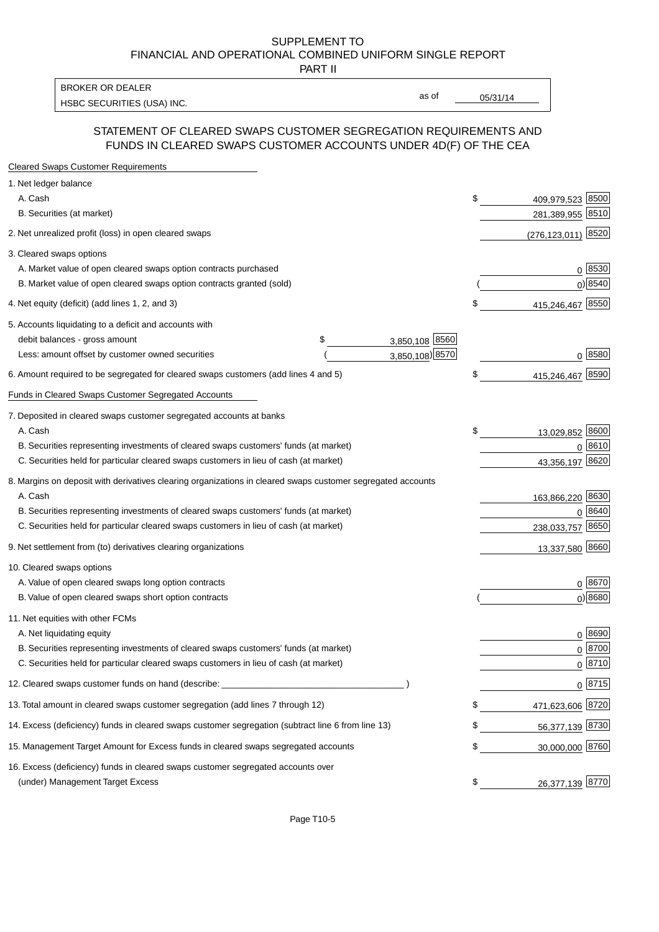#### SUPPLEMENT TO FINANCIAL AND OPERATIONAL COMBINED UNIFORM SINGLE REPORT PART II

HSBC SECURITIES (USA) INC. The state of the state of the state of the state of the state of the state of the state of the state of the state of the state of the state of the state of the state of the state of the state of BROKER OR DEALER

as of

## STATEMENT OF CLEARED SWAPS CUSTOMER SEGREGATION REQUIREMENTS AND FUNDS IN CLEARED SWAPS CUSTOMER ACCOUNTS UNDER 4D(F) OF THE CEA

| <b>Cleared Swaps Customer Requirements</b>                                                                  |                      |                           |
|-------------------------------------------------------------------------------------------------------------|----------------------|---------------------------|
| 1. Net ledger balance                                                                                       |                      |                           |
| A. Cash                                                                                                     |                      | \$<br>8500<br>409,979,523 |
| B. Securities (at market)                                                                                   |                      | 281,389,955<br>8510       |
| 2. Net unrealized profit (loss) in open cleared swaps                                                       |                      | <u>(276,123,011)</u> 8520 |
| 3. Cleared swaps options                                                                                    |                      |                           |
| A. Market value of open cleared swaps option contracts purchased                                            |                      | $0 \; 8530$               |
| B. Market value of open cleared swaps option contracts granted (sold)                                       |                      | $0)$ 8540                 |
| 4. Net equity (deficit) (add lines 1, 2, and 3)                                                             |                      | \$<br>415,246,467 8550    |
| 5. Accounts liquidating to a deficit and accounts with                                                      |                      |                           |
| debit balances - gross amount                                                                               | 3,850,108 8560<br>\$ |                           |
| Less: amount offset by customer owned securities                                                            | 3,850,108) 8570      | 0 8580                    |
| 6. Amount required to be segregated for cleared swaps customers (add lines 4 and 5)                         |                      | \$<br>8590<br>415,246,467 |
| Funds in Cleared Swaps Customer Segregated Accounts                                                         |                      |                           |
| 7. Deposited in cleared swaps customer segregated accounts at banks                                         |                      |                           |
| A. Cash                                                                                                     |                      | \$<br>8600<br>13,029,852  |
| B. Securities representing investments of cleared swaps customers' funds (at market)                        |                      | 0 8610                    |
| C. Securities held for particular cleared swaps customers in lieu of cash (at market)                       |                      | 43,356,197 8620           |
| 8. Margins on deposit with derivatives clearing organizations in cleared swaps customer segregated accounts |                      |                           |
| A. Cash                                                                                                     |                      | 163,866,220 8630          |
| B. Securities representing investments of cleared swaps customers' funds (at market)                        |                      | 8640<br>0                 |
| C. Securities held for particular cleared swaps customers in lieu of cash (at market)                       |                      | 8650<br>238,033,757       |
| 9. Net settlement from (to) derivatives clearing organizations                                              |                      | 13,337,580 8660           |
| 10. Cleared swaps options                                                                                   |                      |                           |
| A. Value of open cleared swaps long option contracts                                                        |                      | $0^{8670}$                |
| B. Value of open cleared swaps short option contracts                                                       |                      | $0$ ) 8680                |
| 11. Net equities with other FCMs                                                                            |                      |                           |
| A. Net liquidating equity                                                                                   |                      | $0^{8690}$                |
| B. Securities representing investments of cleared swaps customers' funds (at market)                        |                      | 0 8700                    |
| C. Securities held for particular cleared swaps customers in lieu of cash (at market)                       |                      | 0 8710                    |
| 12. Cleared swaps customer funds on hand (describe: _                                                       |                      | $0 \frac{8715}{ }$        |
| 13. Total amount in cleared swaps customer segregation (add lines 7 through 12)                             |                      | \$<br>471,623,606 8720    |
| 14. Excess (deficiency) funds in cleared swaps customer segregation (subtract line 6 from line 13)          |                      | 56,377,139 8730           |
| 15. Management Target Amount for Excess funds in cleared swaps segregated accounts                          |                      | \$<br>30,000,000 8760     |
| 16. Excess (deficiency) funds in cleared swaps customer segregated accounts over                            |                      |                           |
| (under) Management Target Excess                                                                            |                      | \$<br>26,377,139 8770     |